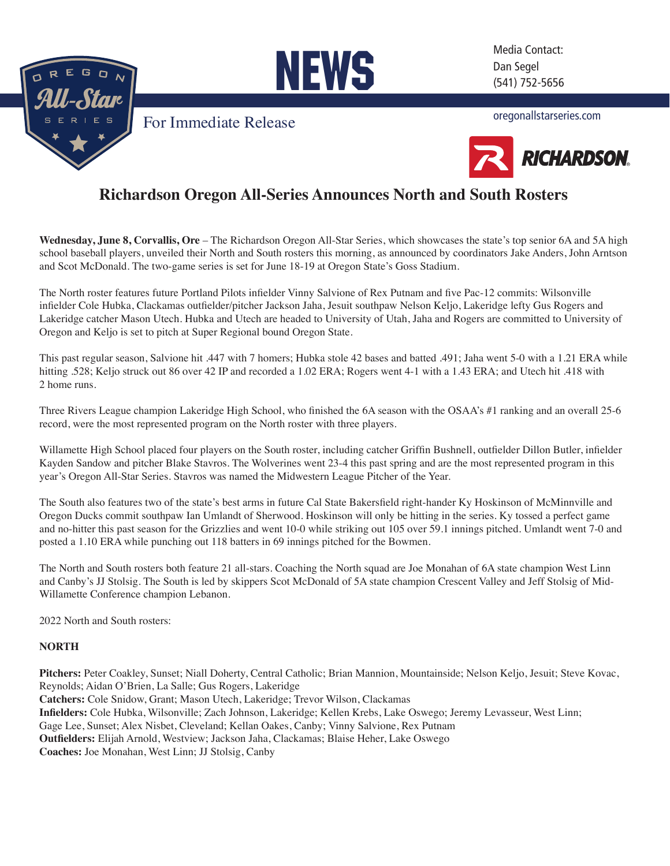

NEWS

[F](http://www.oregonallstarseries.com/index.php)or Immediate Release

Media Contact: Dan Segel (541) 752-5656

[oregonallstarseries.com](http://www.oregonallstarseries.com/index.php)



# **Richardson Oregon All-Series Announces North and South Rosters**

**Wednesday, June 8, Corvallis, Ore** – The Richardson Oregon All-Star Series, which showcases the state's top senior 6A and 5A high school baseball players, unveiled their North and South rosters this morning, as announced by coordinators Jake Anders, John Arntson and Scot McDonald. The two-game series is set for June 18-19 at Oregon State's Goss Stadium.

The North roster features future Portland Pilots infielder Vinny Salvione of Rex Putnam and five Pac-12 commits: Wilsonville infielder Cole Hubka, Clackamas outfielder/pitcher Jackson Jaha, Jesuit southpaw Nelson Keljo, Lakeridge lefty Gus Rogers and Lakeridge catcher Mason Utech. Hubka and Utech are headed to University of Utah, Jaha and Rogers are committed to University of Oregon and Keljo is set to pitch at Super Regional bound Oregon State.

This past regular season, Salvione hit .447 with 7 homers; Hubka stole 42 bases and batted .491; Jaha went 5-0 with a 1.21 ERA while hitting .528; Keljo struck out 86 over 42 IP and recorded a 1.02 ERA; Rogers went 4-1 with a 1.43 ERA; and Utech hit .418 with 2 home runs.

Three Rivers League champion Lakeridge High School, who finished the 6A season with the OSAA's #1 ranking and an overall 25-6 record, were the most represented program on the North roster with three players.

Willamette High School placed four players on the South roster, including catcher Griffin Bushnell, outfielder Dillon Butler, infielder Kayden Sandow and pitcher Blake Stavros. The Wolverines went 23-4 this past spring and are the most represented program in this year's Oregon All-Star Series. Stavros was named the Midwestern League Pitcher of the Year.

The South also features two of the state's best arms in future Cal State Bakersfield right-hander Ky Hoskinson of McMinnville and Oregon Ducks commit southpaw Ian Umlandt of Sherwood. Hoskinson will only be hitting in the series. Ky tossed a perfect game and no-hitter this past season for the Grizzlies and went 10-0 while striking out 105 over 59.1 innings pitched. Umlandt went 7-0 and posted a 1.10 ERA while punching out 118 batters in 69 innings pitched for the Bowmen.

The North and South rosters both feature 21 all-stars. Coaching the North squad are Joe Monahan of 6A state champion West Linn and Canby's JJ Stolsig. The South is led by skippers Scot McDonald of 5A state champion Crescent Valley and Jeff Stolsig of Mid-Willamette Conference champion Lebanon.

2022 North and South rosters:

# **NORTH**

**Pitchers:** Peter Coakley, Sunset; Niall Doherty, Central Catholic; Brian Mannion, Mountainside; Nelson Keljo, Jesuit; Steve Kovac, Reynolds; Aidan O'Brien, La Salle; Gus Rogers, Lakeridge **Catchers:** Cole Snidow, Grant; Mason Utech, Lakeridge; Trevor Wilson, Clackamas **Infielders:** Cole Hubka, Wilsonville; Zach Johnson, Lakeridge; Kellen Krebs, Lake Oswego; Jeremy Levasseur, West Linn; Gage Lee, Sunset; Alex Nisbet, Cleveland; Kellan Oakes, Canby; Vinny Salvione, Rex Putnam **Outfielders:** Elijah Arnold, Westview; Jackson Jaha, Clackamas; Blaise Heher, Lake Oswego **Coaches:** Joe Monahan, West Linn; JJ Stolsig, Canby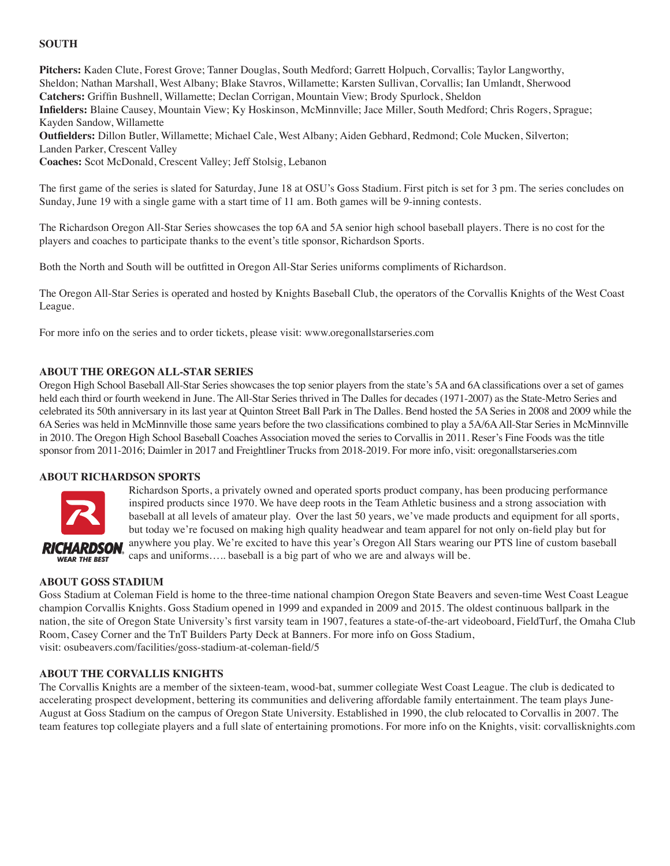## **SOUTH**

**Pitchers:** Kaden Clute, Forest Grove; Tanner Douglas, South Medford; Garrett Holpuch, Corvallis; Taylor Langworthy, Sheldon; Nathan Marshall, West Albany; Blake Stavros, Willamette; Karsten Sullivan, Corvallis; Ian Umlandt, Sherwood **Catchers:** Griffin Bushnell, Willamette; Declan Corrigan, Mountain View; Brody Spurlock, Sheldon **Infielders:** Blaine Causey, Mountain View; Ky Hoskinson, McMinnville; Jace Miller, South Medford; Chris Rogers, Sprague; Kayden Sandow, Willamette **Outfielders:** Dillon Butler, Willamette; Michael Cale, West Albany; Aiden Gebhard, Redmond; Cole Mucken, Silverton;

Landen Parker, Crescent Valley

**Coaches:** Scot McDonald, Crescent Valley; Jeff Stolsig, Lebanon

The first game of the series is slated for Saturday, June 18 at OSU's Goss Stadium. First pitch is set for 3 pm. The series concludes on Sunday, June 19 with a single game with a start time of 11 am. Both games will be 9-inning contests.

The Richardson Oregon All-Star Series showcases the top 6A and 5A senior high school baseball players. There is no cost for the players and coaches to participate thanks to the event's title sponsor, Richardson Sports.

Both the North and South will be outfitted in Oregon All-Star Series uniforms compliments of Richardson.

The Oregon All-Star Series is operated and hosted by Knights Baseball Club, the operators of the Corvallis Knights of the West Coast League.

For more info on the series and to order tickets, please visit: w[ww.oregonallstarseries.com](http://www.oregonallstarseries.com/index.php)

### **About the Oregon All-Star Series**

Oregon High School Baseball All-Star Series showcases the top senior players from the state's 5A and 6A classifications over a set of games held each third or fourth weekend in June. The All-Star Series thrived in The Dalles for decades (1971-2007) as the State-Metro Series and celebrated its 50th anniversary in its last year at Quinton Street Ball Park in The Dalles. Bend hosted the 5A Series in 2008 and 2009 while the 6A Series was held in McMinnville those same years before the two classifications combined to play a 5A/6A All-Star Series in McMinnville in 2010. The Oregon High School Baseball Coaches Association moved the series to Corvallis in 2011. Reser's Fine Foods was the title sponsor from 2011-2016; Daimler in 2017 and Freightliner Trucks from 2018-2019. For more info, [visit: oregonallstarseries.com](http://www.oregonallstarseries.com/index.php)

#### **ABOUT RICHARDSON SPORTS**



Richardson Sports, a privately owned and operated sports product company, has been producing performance inspired products since 1970. We have deep roots in the Team Athletic business and a strong association with baseball at all levels of amateur play. Over the last 50 years, we've made products and equipment for all sports, but today we're focused on making high quality headwear and team apparel for not only on-field play but for anywhere you play. We're excited to have this year's Oregon All Stars wearing our PTS line of custom baseball caps and uniforms….. baseball is a big part of who we are and always will be.

#### **About Goss Stadium**

Goss Stadium at Coleman Field is home to the three-time national champion Oregon State Beavers and seven-time West Coast League champion Corvallis Knights. Goss Stadium opened in 1999 and expanded in 2009 and 2015. The oldest continuous ballpark in the nation, the site of Oregon State University's first varsity team in 1907, features a state-of-the-art videoboard, FieldTurf, the Omaha Club R[oom, Casey Corner and the TnT Builders Party Deck at Banners. F](http://www.osubeavers.com/facilities/?id=5)or more info on Goss Stadium, visit: osubeavers.com/facilities/goss-stadium-at-coleman-field/5

#### **About the Corvallis Knights**

The Corvallis Knights are a member of the sixteen-team, wood-bat, summer collegiate West Coast League. The club is dedicated to accelerating prospect development, bettering its communities and delivering affordable family entertainment. The team plays June-August at Goss Stadium on the campus of Oregon State University. Established in 1990, the club relocated to Corvallis in 2007. The team features top collegiate players and a full slate of entertaining promotions. For more info on the Knig[hts, visit: corvallisknights.com](http://www.corvallisknights.com/)